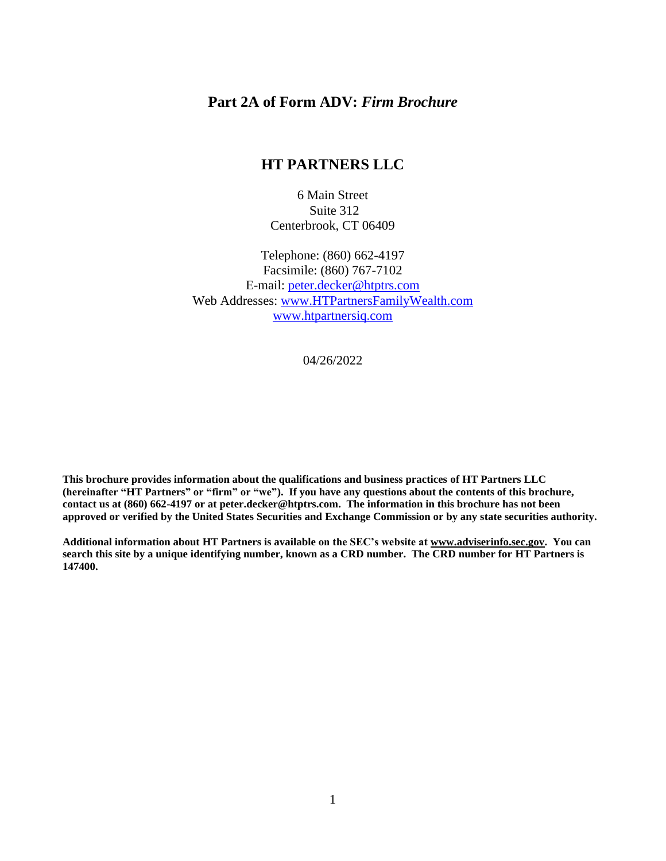#### **Part 2A of Form ADV:** *Firm Brochure*

## **HT PARTNERS LLC**

6 Main Street Suite 312 Centerbrook, CT 06409

Telephone: (860) 662-4197 Facsimile: (860) 767-7102 E-mail: [peter.decker@htptrs.com](mailto:peter.decker@htptrs.com) Web Addresses: [www.HTPartnersFamilyWealth.com](http://www.htpartnersfamilywealth.com/) www.htpartnersiq.com

04/26/2022

**This brochure provides information about the qualifications and business practices of HT Partners LLC (hereinafter "HT Partners" or "firm" or "we"). If you have any questions about the contents of this brochure, contact us at (860) 662-4197 or at peter.decker@htptrs.com. The information in this brochure has not been approved or verified by the United States Securities and Exchange Commission or by any state securities authority.**

**Additional information about HT Partners is available on the SEC's website at [www.adviserinfo.sec.gov.](http://www.adviserinfo.sec.gov/) You can search this site by a unique identifying number, known as a CRD number. The CRD number for HT Partners is 147400.**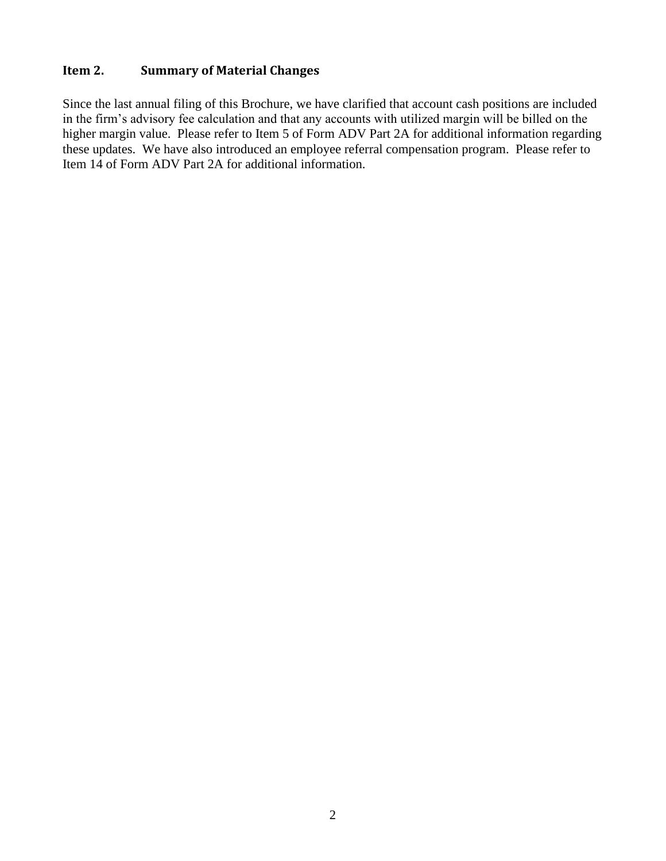## <span id="page-1-0"></span>**Item 2. Summary of Material Changes**

Since the last annual filing of this Brochure, we have clarified that account cash positions are included in the firm's advisory fee calculation and that any accounts with utilized margin will be billed on the higher margin value. Please refer to Item 5 of Form ADV Part 2A for additional information regarding these updates. We have also introduced an employee referral compensation program. Please refer to Item 14 of Form ADV Part 2A for additional information.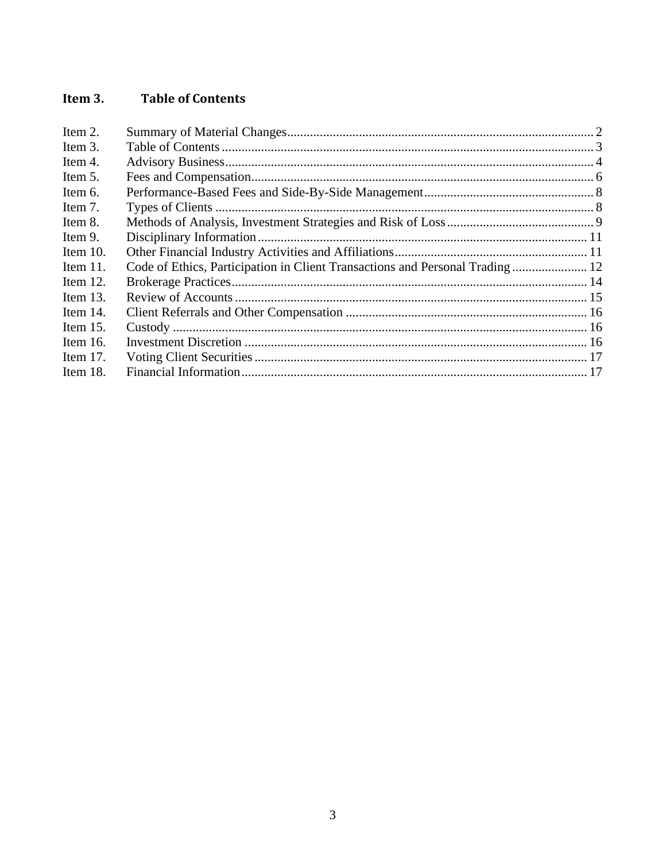#### <span id="page-2-0"></span>Item 3. **Table of Contents**

| Code of Ethics, Participation in Client Transactions and Personal Trading 12 |  |
|------------------------------------------------------------------------------|--|
|                                                                              |  |
|                                                                              |  |
|                                                                              |  |
|                                                                              |  |
|                                                                              |  |
|                                                                              |  |
|                                                                              |  |
|                                                                              |  |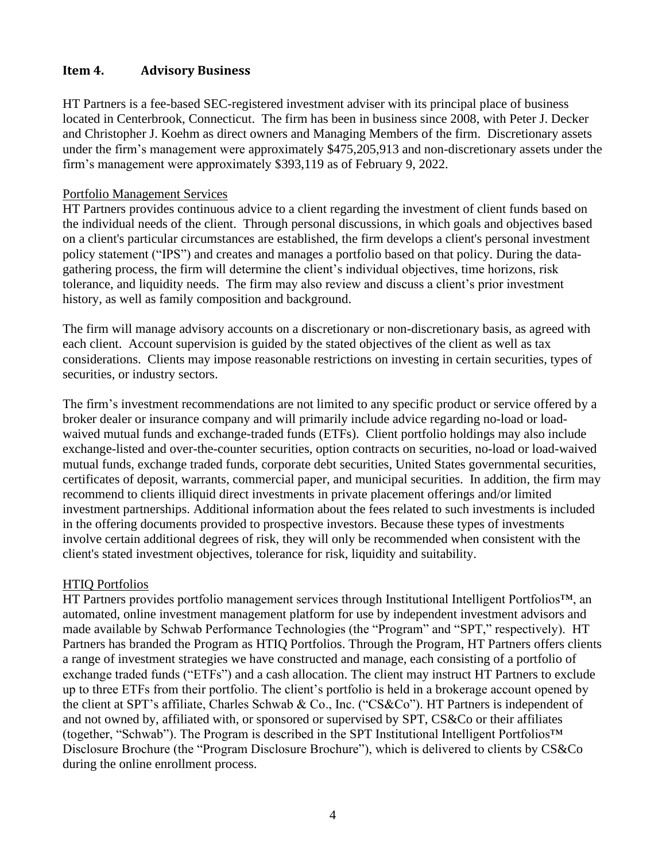## <span id="page-3-0"></span>**Item 4. Advisory Business**

HT Partners is a fee-based SEC-registered investment adviser with its principal place of business located in Centerbrook, Connecticut. The firm has been in business since 2008, with Peter J. Decker and Christopher J. Koehm as direct owners and Managing Members of the firm. Discretionary assets under the firm's management were approximately \$475,205,913 and non-discretionary assets under the firm's management were approximately \$393,119 as of February 9, 2022.

#### Portfolio Management Services

HT Partners provides continuous advice to a client regarding the investment of client funds based on the individual needs of the client. Through personal discussions, in which goals and objectives based on a client's particular circumstances are established, the firm develops a client's personal investment policy statement ("IPS") and creates and manages a portfolio based on that policy. During the datagathering process, the firm will determine the client's individual objectives, time horizons, risk tolerance, and liquidity needs. The firm may also review and discuss a client's prior investment history, as well as family composition and background.

The firm will manage advisory accounts on a discretionary or non-discretionary basis, as agreed with each client. Account supervision is guided by the stated objectives of the client as well as tax considerations. Clients may impose reasonable restrictions on investing in certain securities, types of securities, or industry sectors.

The firm's investment recommendations are not limited to any specific product or service offered by a broker dealer or insurance company and will primarily include advice regarding no-load or loadwaived mutual funds and exchange-traded funds (ETFs). Client portfolio holdings may also include exchange-listed and over-the-counter securities, option contracts on securities, no-load or load-waived mutual funds, exchange traded funds, corporate debt securities, United States governmental securities, certificates of deposit, warrants, commercial paper, and municipal securities. In addition, the firm may recommend to clients illiquid direct investments in private placement offerings and/or limited investment partnerships. Additional information about the fees related to such investments is included in the offering documents provided to prospective investors. Because these types of investments involve certain additional degrees of risk, they will only be recommended when consistent with the client's stated investment objectives, tolerance for risk, liquidity and suitability.

#### HTIQ Portfolios

HT Partners provides portfolio management services through Institutional Intelligent Portfolios™, an automated, online investment management platform for use by independent investment advisors and made available by Schwab Performance Technologies (the "Program" and "SPT," respectively). HT Partners has branded the Program as HTIQ Portfolios. Through the Program, HT Partners offers clients a range of investment strategies we have constructed and manage, each consisting of a portfolio of exchange traded funds ("ETFs") and a cash allocation. The client may instruct HT Partners to exclude up to three ETFs from their portfolio. The client's portfolio is held in a brokerage account opened by the client at SPT's affiliate, Charles Schwab & Co., Inc. ("CS&Co"). HT Partners is independent of and not owned by, affiliated with, or sponsored or supervised by SPT, CS&Co or their affiliates (together, "Schwab"). The Program is described in the SPT Institutional Intelligent Portfolios™ Disclosure Brochure (the "Program Disclosure Brochure"), which is delivered to clients by CS&Co during the online enrollment process.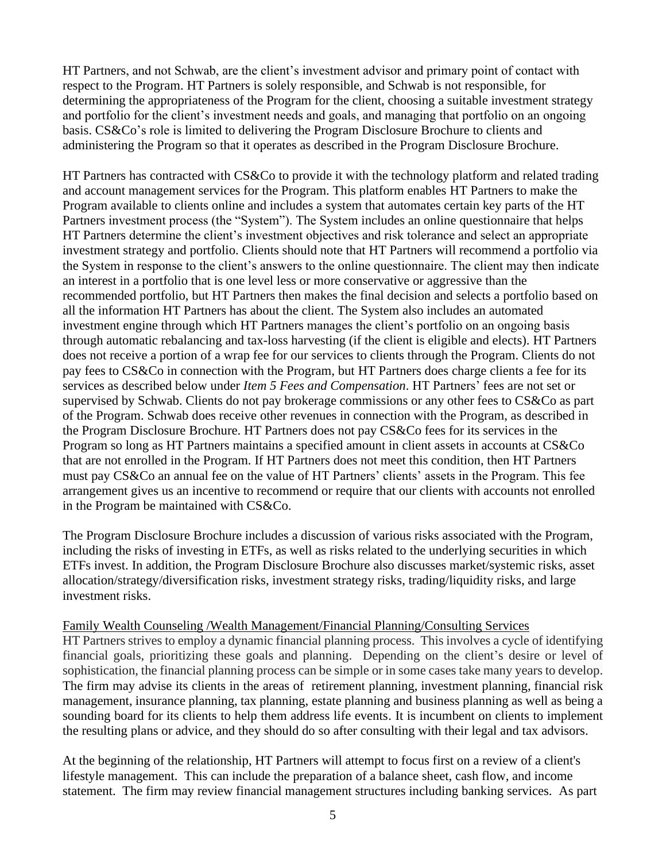HT Partners, and not Schwab, are the client's investment advisor and primary point of contact with respect to the Program. HT Partners is solely responsible, and Schwab is not responsible, for determining the appropriateness of the Program for the client, choosing a suitable investment strategy and portfolio for the client's investment needs and goals, and managing that portfolio on an ongoing basis. CS&Co's role is limited to delivering the Program Disclosure Brochure to clients and administering the Program so that it operates as described in the Program Disclosure Brochure.

HT Partners has contracted with CS&Co to provide it with the technology platform and related trading and account management services for the Program. This platform enables HT Partners to make the Program available to clients online and includes a system that automates certain key parts of the HT Partners investment process (the "System"). The System includes an online questionnaire that helps HT Partners determine the client's investment objectives and risk tolerance and select an appropriate investment strategy and portfolio. Clients should note that HT Partners will recommend a portfolio via the System in response to the client's answers to the online questionnaire. The client may then indicate an interest in a portfolio that is one level less or more conservative or aggressive than the recommended portfolio, but HT Partners then makes the final decision and selects a portfolio based on all the information HT Partners has about the client. The System also includes an automated investment engine through which HT Partners manages the client's portfolio on an ongoing basis through automatic rebalancing and tax-loss harvesting (if the client is eligible and elects). HT Partners does not receive a portion of a wrap fee for our services to clients through the Program. Clients do not pay fees to CS&Co in connection with the Program, but HT Partners does charge clients a fee for its services as described below under *Item 5 Fees and Compensation*. HT Partners' fees are not set or supervised by Schwab. Clients do not pay brokerage commissions or any other fees to CS&Co as part of the Program. Schwab does receive other revenues in connection with the Program, as described in the Program Disclosure Brochure. HT Partners does not pay CS&Co fees for its services in the Program so long as HT Partners maintains a specified amount in client assets in accounts at CS&Co that are not enrolled in the Program. If HT Partners does not meet this condition, then HT Partners must pay CS&Co an annual fee on the value of HT Partners' clients' assets in the Program. This fee arrangement gives us an incentive to recommend or require that our clients with accounts not enrolled in the Program be maintained with CS&Co.

The Program Disclosure Brochure includes a discussion of various risks associated with the Program, including the risks of investing in ETFs, as well as risks related to the underlying securities in which ETFs invest. In addition, the Program Disclosure Brochure also discusses market/systemic risks, asset allocation/strategy/diversification risks, investment strategy risks, trading/liquidity risks, and large investment risks.

#### Family Wealth Counseling /Wealth Management/Financial Planning/Consulting Services

HT Partners strives to employ a dynamic financial planning process. This involves a cycle of identifying financial goals, prioritizing these goals and planning. Depending on the client's desire or level of sophistication, the financial planning process can be simple or in some cases take many years to develop. The firm may advise its clients in the areas of [retirement planning,](https://en.wikipedia.org/wiki/Retirement_planning) [investment planning,](https://en.wikipedia.org/wiki/Investment_management) [financial risk](https://en.wikipedia.org/wiki/Financial_risk_management)  [management,](https://en.wikipedia.org/wiki/Financial_risk_management) insurance planning, tax planning, [estate planning](https://en.wikipedia.org/wiki/Estate_planning) and [business planning](https://en.wikipedia.org/wiki/Succession_planning) as well as being a sounding board for its clients to help them address life events. It is incumbent on clients to implement the resulting plans or advice, and they should do so after consulting with their legal and tax advisors.

At the beginning of the relationship, HT Partners will attempt to focus first on a review of a client's lifestyle management. This can include the preparation of a balance sheet, cash flow, and income statement. The firm may review financial management structures including banking services. As part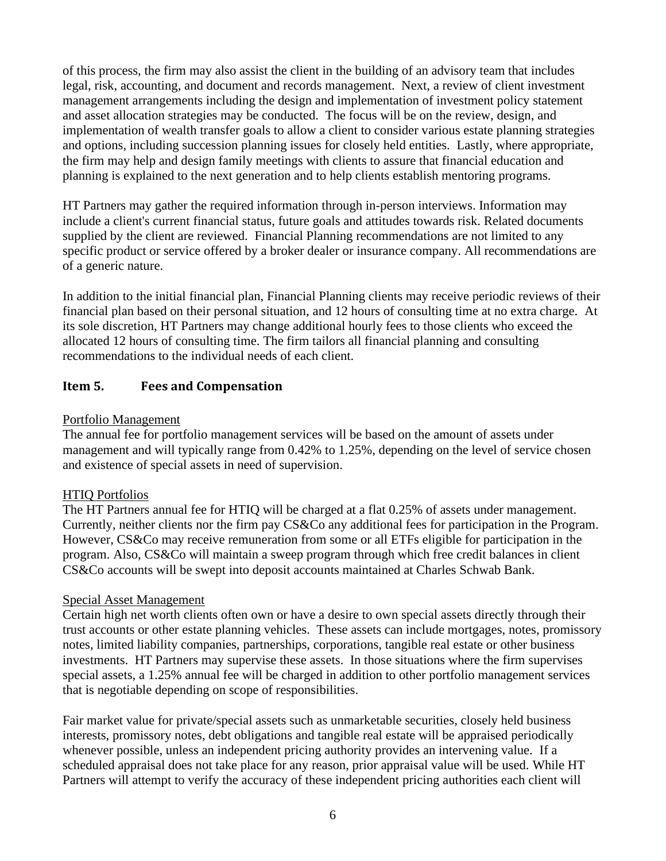of this process, the firm may also assist the client in the building of an advisory team that includes legal, risk, accounting, and document and records management. Next, a review of client investment management arrangements including the design and implementation of investment policy statement and asset allocation strategies may be conducted. The focus will be on the review, design, and implementation of wealth transfer goals to allow a client to consider various estate planning strategies and options, including succession planning issues for closely held entities. Lastly, where appropriate, the firm may help and design family meetings with clients to assure that financial education and planning is explained to the next generation and to help clients establish mentoring programs.

HT Partners may gather the required information through in-person interviews. Information may include a client's current financial status, future goals and attitudes towards risk. Related documents supplied by the client are reviewed. Financial Planning recommendations are not limited to any specific product or service offered by a broker dealer or insurance company. All recommendations are of a generic nature.

In addition to the initial financial plan, Financial Planning clients may receive periodic reviews of their financial plan based on their personal situation, and 12 hours of consulting time at no extra charge. At its sole discretion, HT Partners may change additional hourly fees to those clients who exceed the allocated 12 hours of consulting time. The firm tailors all financial planning and consulting recommendations to the individual needs of each client.

## <span id="page-5-0"></span>**Item 5. Fees and Compensation**

#### Portfolio Management

The annual fee for portfolio management services will be based on the amount of assets under management and will typically range from 0.42% to 1.25%, depending on the level of service chosen and existence of special assets in need of supervision.

## HTIQ Portfolios

The HT Partners annual fee for HTIQ will be charged at a flat 0.25% of assets under management. Currently, neither clients nor the firm pay CS&Co any additional fees for participation in the Program. However, CS&Co may receive remuneration from some or all ETFs eligible for participation in the program. Also, CS&Co will maintain a sweep program through which free credit balances in client CS&Co accounts will be swept into deposit accounts maintained at Charles Schwab Bank.

#### Special Asset Management

Certain high net worth clients often own or have a desire to own special assets directly through their trust accounts or other estate planning vehicles. These assets can include mortgages, notes, promissory notes, limited liability companies, partnerships, corporations, tangible real estate or other business investments. HT Partners may supervise these assets. In those situations where the firm supervises special assets, a 1.25% annual fee will be charged in addition to other portfolio management services that is negotiable depending on scope of responsibilities.

Fair market value for private/special assets such as unmarketable securities, closely held business interests, promissory notes, debt obligations and tangible real estate will be appraised periodically whenever possible, unless an independent pricing authority provides an intervening value. If a scheduled appraisal does not take place for any reason, prior appraisal value will be used. While HT Partners will attempt to verify the accuracy of these independent pricing authorities each client will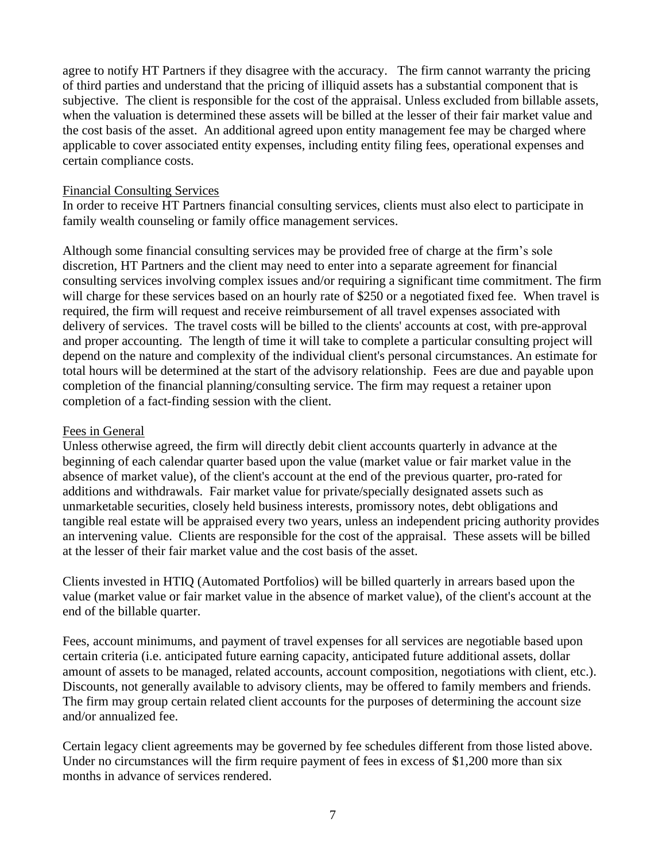agree to notify HT Partners if they disagree with the accuracy. The firm cannot warranty the pricing of third parties and understand that the pricing of illiquid assets has a substantial component that is subjective. The client is responsible for the cost of the appraisal. Unless excluded from billable assets, when the valuation is determined these assets will be billed at the lesser of their fair market value and the cost basis of the asset. An additional agreed upon entity management fee may be charged where applicable to cover associated entity expenses, including entity filing fees, operational expenses and certain compliance costs.

#### Financial Consulting Services

In order to receive HT Partners financial consulting services, clients must also elect to participate in family wealth counseling or family office management services.

Although some financial consulting services may be provided free of charge at the firm's sole discretion, HT Partners and the client may need to enter into a separate agreement for financial consulting services involving complex issues and/or requiring a significant time commitment. The firm will charge for these services based on an hourly rate of \$250 or a negotiated fixed fee. When travel is required, the firm will request and receive reimbursement of all travel expenses associated with delivery of services. The travel costs will be billed to the clients' accounts at cost, with pre-approval and proper accounting. The length of time it will take to complete a particular consulting project will depend on the nature and complexity of the individual client's personal circumstances. An estimate for total hours will be determined at the start of the advisory relationship. Fees are due and payable upon completion of the financial planning/consulting service. The firm may request a retainer upon completion of a fact-finding session with the client.

#### Fees in General

Unless otherwise agreed, the firm will directly debit client accounts quarterly in advance at the beginning of each calendar quarter based upon the value (market value or fair market value in the absence of market value), of the client's account at the end of the previous quarter, pro-rated for additions and withdrawals. Fair market value for private/specially designated assets such as unmarketable securities, closely held business interests, promissory notes, debt obligations and tangible real estate will be appraised every two years, unless an independent pricing authority provides an intervening value. Clients are responsible for the cost of the appraisal. These assets will be billed at the lesser of their fair market value and the cost basis of the asset.

Clients invested in HTIQ (Automated Portfolios) will be billed quarterly in arrears based upon the value (market value or fair market value in the absence of market value), of the client's account at the end of the billable quarter.

Fees, account minimums, and payment of travel expenses for all services are negotiable based upon certain criteria (i.e. anticipated future earning capacity, anticipated future additional assets, dollar amount of assets to be managed, related accounts, account composition, negotiations with client, etc.). Discounts, not generally available to advisory clients, may be offered to family members and friends. The firm may group certain related client accounts for the purposes of determining the account size and/or annualized fee.

Certain legacy client agreements may be governed by fee schedules different from those listed above. Under no circumstances will the firm require payment of fees in excess of \$1,200 more than six months in advance of services rendered.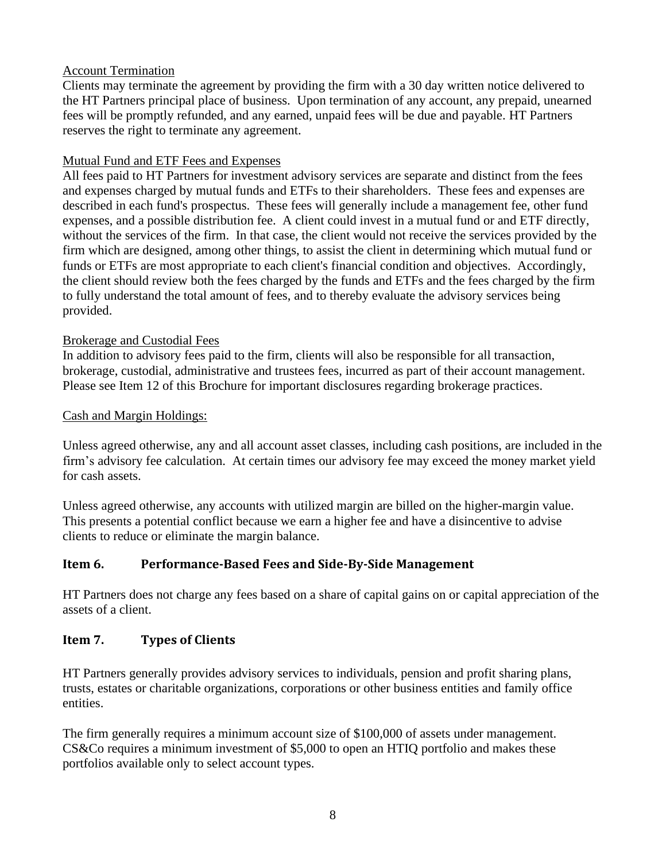## Account Termination

Clients may terminate the agreement by providing the firm with a 30 day written notice delivered to the HT Partners principal place of business. Upon termination of any account, any prepaid, unearned fees will be promptly refunded, and any earned, unpaid fees will be due and payable. HT Partners reserves the right to terminate any agreement.

## Mutual Fund and ETF Fees and Expenses

All fees paid to HT Partners for investment advisory services are separate and distinct from the fees and expenses charged by mutual funds and ETFs to their shareholders. These fees and expenses are described in each fund's prospectus. These fees will generally include a management fee, other fund expenses, and a possible distribution fee. A client could invest in a mutual fund or and ETF directly, without the services of the firm. In that case, the client would not receive the services provided by the firm which are designed, among other things, to assist the client in determining which mutual fund or funds or ETFs are most appropriate to each client's financial condition and objectives. Accordingly, the client should review both the fees charged by the funds and ETFs and the fees charged by the firm to fully understand the total amount of fees, and to thereby evaluate the advisory services being provided.

#### Brokerage and Custodial Fees

In addition to advisory fees paid to the firm, clients will also be responsible for all transaction, brokerage, custodial, administrative and trustees fees, incurred as part of their account management. Please see Item 12 of this Brochure for important disclosures regarding brokerage practices.

#### Cash and Margin Holdings:

Unless agreed otherwise, any and all account asset classes, including cash positions, are included in the firm's advisory fee calculation. At certain times our advisory fee may exceed the money market yield for cash assets.

Unless agreed otherwise, any accounts with utilized margin are billed on the higher-margin value. This presents a potential conflict because we earn a higher fee and have a disincentive to advise clients to reduce or eliminate the margin balance.

## <span id="page-7-0"></span>**Item 6. Performance-Based Fees and Side-By-Side Management**

HT Partners does not charge any fees based on a share of capital gains on or capital appreciation of the assets of a client.

## <span id="page-7-1"></span>**Item 7. Types of Clients**

HT Partners generally provides advisory services to individuals, pension and profit sharing plans, trusts, estates or charitable organizations, corporations or other business entities and family office entities.

The firm generally requires a minimum account size of \$100,000 of assets under management. CS&Co requires a minimum investment of \$5,000 to open an HTIQ portfolio and makes these portfolios available only to select account types.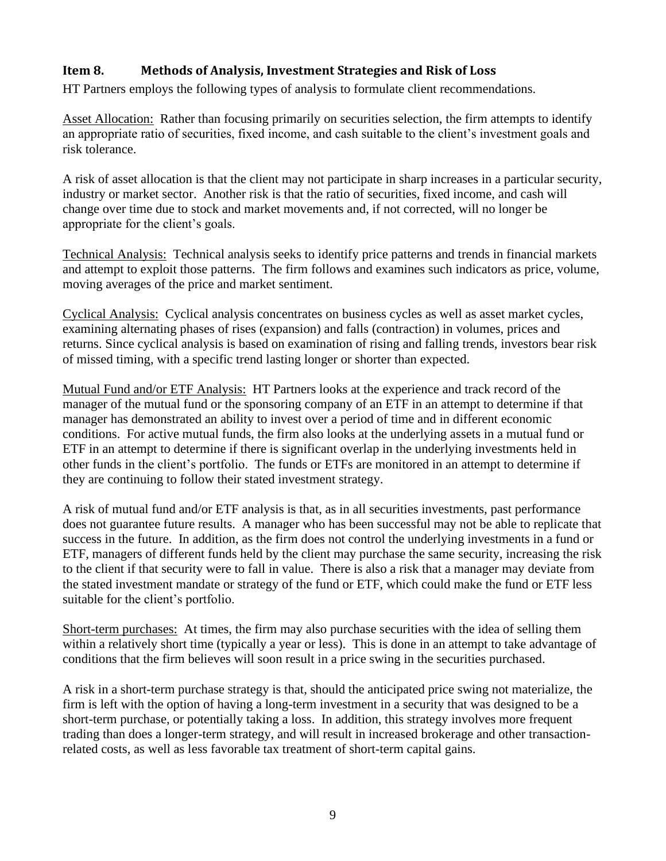## <span id="page-8-0"></span>**Item 8. Methods of Analysis, Investment Strategies and Risk of Loss**

HT Partners employs the following types of analysis to formulate client recommendations.

Asset Allocation: Rather than focusing primarily on securities selection, the firm attempts to identify an appropriate ratio of securities, fixed income, and cash suitable to the client's investment goals and risk tolerance.

A risk of asset allocation is that the client may not participate in sharp increases in a particular security, industry or market sector. Another risk is that the ratio of securities, fixed income, and cash will change over time due to stock and market movements and, if not corrected, will no longer be appropriate for the client's goals.

Technical Analysis: Technical analysis seeks to identify price patterns and trends in financial markets and attempt to exploit those patterns. The firm follows and examines such indicators as [price,](http://en.wikipedia.org/wiki/Price) [volume,](http://en.wikipedia.org/wiki/Volume_%28disambiguation%29) [moving averages](http://en.wikipedia.org/wiki/Moving_average) of the price and market sentiment.

Cyclical Analysis: Cyclical analysis concentrates on business cycles as well as asset market cycles, examining alternating phases of rises (expansion) and falls (contraction) in volumes, prices and returns. Since cyclical analysis is based on examination of rising and falling trends, investors bear risk of missed timing, with a specific trend lasting longer or shorter than expected.

Mutual Fund and/or ETF Analysis: HT Partners looks at the experience and track record of the manager of the mutual fund or the sponsoring company of an ETF in an attempt to determine if that manager has demonstrated an ability to invest over a period of time and in different economic conditions. For active mutual funds, the firm also looks at the underlying assets in a mutual fund or ETF in an attempt to determine if there is significant overlap in the underlying investments held in other funds in the client's portfolio. The funds or ETFs are monitored in an attempt to determine if they are continuing to follow their stated investment strategy.

A risk of mutual fund and/or ETF analysis is that, as in all securities investments, past performance does not guarantee future results. A manager who has been successful may not be able to replicate that success in the future. In addition, as the firm does not control the underlying investments in a fund or ETF, managers of different funds held by the client may purchase the same security, increasing the risk to the client if that security were to fall in value. There is also a risk that a manager may deviate from the stated investment mandate or strategy of the fund or ETF, which could make the fund or ETF less suitable for the client's portfolio.

Short-term purchases: At times, the firm may also purchase securities with the idea of selling them within a relatively short time (typically a year or less). This is done in an attempt to take advantage of conditions that the firm believes will soon result in a price swing in the securities purchased.

A risk in a short-term purchase strategy is that, should the anticipated price swing not materialize, the firm is left with the option of having a long-term investment in a security that was designed to be a short-term purchase, or potentially taking a loss. In addition, this strategy involves more frequent trading than does a longer-term strategy, and will result in increased brokerage and other transactionrelated costs, as well as less favorable tax treatment of short-term capital gains.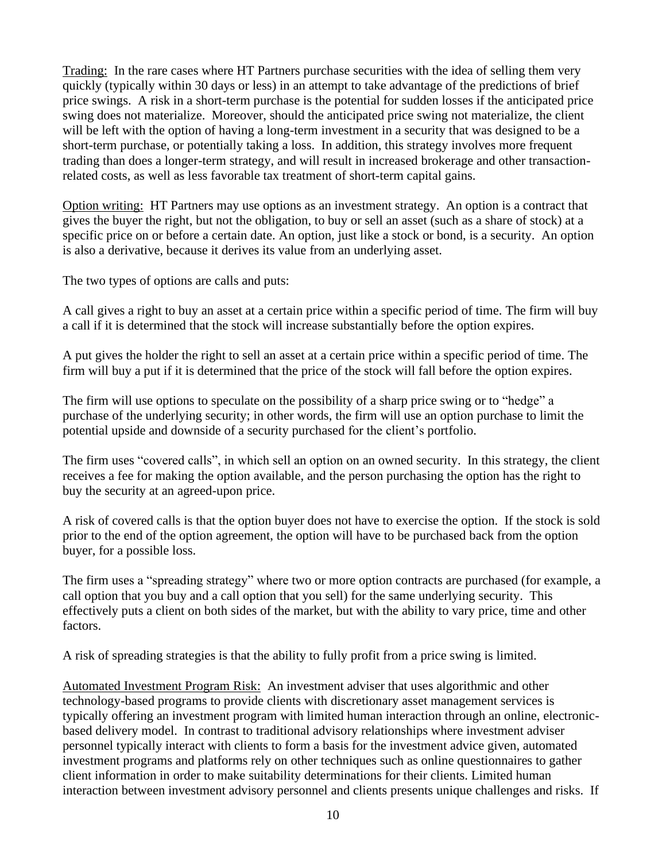Trading: In the rare cases where HT Partners purchase securities with the idea of selling them very quickly (typically within 30 days or less) in an attempt to take advantage of the predictions of brief price swings. A risk in a short-term purchase is the potential for sudden losses if the anticipated price swing does not materialize. Moreover, should the anticipated price swing not materialize, the client will be left with the option of having a long-term investment in a security that was designed to be a short-term purchase, or potentially taking a loss. In addition, this strategy involves more frequent trading than does a longer-term strategy, and will result in increased brokerage and other transactionrelated costs, as well as less favorable tax treatment of short-term capital gains.

Option writing: HT Partners may use options as an investment strategy. An option is a contract that gives the buyer the right, but not the obligation, to buy or sell an asset (such as a share of stock) at a specific price on or before a certain date. An option, just like a stock or bond, is a security. An option is also a derivative, because it derives its value from an underlying asset.

The two types of options are calls and puts:

A call gives a right to buy an asset at a certain price within a specific period of time. The firm will buy a call if it is determined that the stock will increase substantially before the option expires.

A put gives the holder the right to sell an asset at a certain price within a specific period of time. The firm will buy a put if it is determined that the price of the stock will fall before the option expires.

The firm will use options to speculate on the possibility of a sharp price swing or to "hedge" a purchase of the underlying security; in other words, the firm will use an option purchase to limit the potential upside and downside of a security purchased for the client's portfolio.

The firm uses "covered calls", in which sell an option on an owned security. In this strategy, the client receives a fee for making the option available, and the person purchasing the option has the right to buy the security at an agreed-upon price.

A risk of covered calls is that the option buyer does not have to exercise the option. If the stock is sold prior to the end of the option agreement, the option will have to be purchased back from the option buyer, for a possible loss.

The firm uses a "spreading strategy" where two or more option contracts are purchased (for example, a call option that you buy and a call option that you sell) for the same underlying security. This effectively puts a client on both sides of the market, but with the ability to vary price, time and other factors.

A risk of spreading strategies is that the ability to fully profit from a price swing is limited.

Automated Investment Program Risk: An investment adviser that uses algorithmic and other technology-based programs to provide clients with discretionary asset management services is typically offering an investment program with limited human interaction through an online, electronicbased delivery model. In contrast to traditional advisory relationships where investment adviser personnel typically interact with clients to form a basis for the investment advice given, automated investment programs and platforms rely on other techniques such as online questionnaires to gather client information in order to make suitability determinations for their clients. Limited human interaction between investment advisory personnel and clients presents unique challenges and risks. If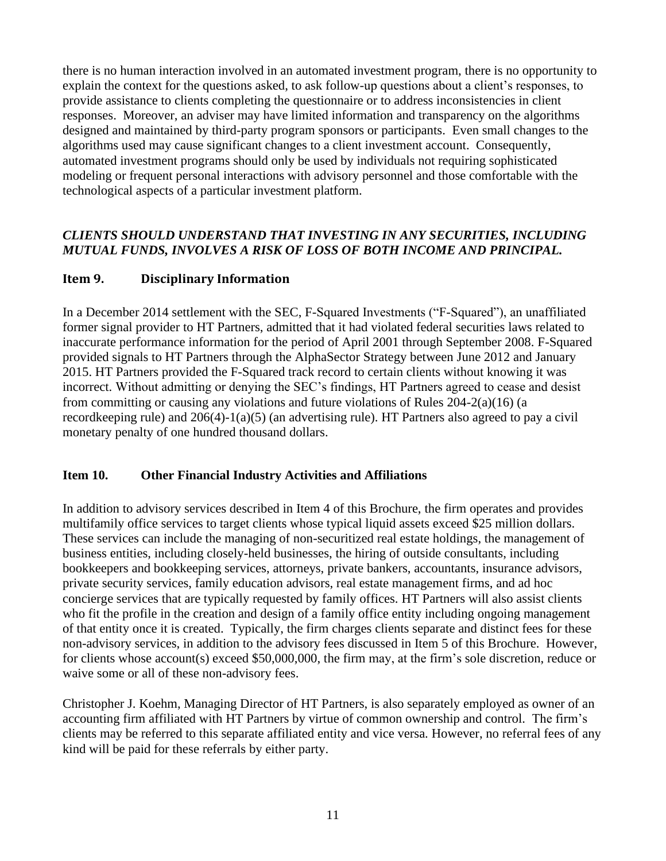there is no human interaction involved in an automated investment program, there is no opportunity to explain the context for the questions asked, to ask follow-up questions about a client's responses, to provide assistance to clients completing the questionnaire or to address inconsistencies in client responses. Moreover, an adviser may have limited information and transparency on the algorithms designed and maintained by third-party program sponsors or participants. Even small changes to the algorithms used may cause significant changes to a client investment account. Consequently, automated investment programs should only be used by individuals not requiring sophisticated modeling or frequent personal interactions with advisory personnel and those comfortable with the technological aspects of a particular investment platform.

## *CLIENTS SHOULD UNDERSTAND THAT INVESTING IN ANY SECURITIES, INCLUDING MUTUAL FUNDS, INVOLVES A RISK OF LOSS OF BOTH INCOME AND PRINCIPAL.*

## <span id="page-10-0"></span>**Item 9. Disciplinary Information**

In a December 2014 settlement with the SEC, F-Squared Investments ("F-Squared"), an unaffiliated former signal provider to HT Partners, admitted that it had violated federal securities laws related to inaccurate performance information for the period of April 2001 through September 2008. F-Squared provided signals to HT Partners through the AlphaSector Strategy between June 2012 and January 2015. HT Partners provided the F-Squared track record to certain clients without knowing it was incorrect. Without admitting or denying the SEC's findings, HT Partners agreed to cease and desist from committing or causing any violations and future violations of Rules 204-2(a)(16) (a recordkeeping rule) and 206(4)-1(a)(5) (an advertising rule). HT Partners also agreed to pay a civil monetary penalty of one hundred thousand dollars.

## <span id="page-10-1"></span>**Item 10. Other Financial Industry Activities and Affiliations**

In addition to advisory services described in Item 4 of this Brochure, the firm operates and provides multifamily office services to target clients whose typical liquid assets exceed \$25 million dollars. These services can include the managing of non-securitized real estate holdings, the management of business entities, including closely-held businesses, the hiring of outside consultants, including bookkeepers and bookkeeping services, attorneys, private bankers, accountants, insurance advisors, private security services, family education advisors, real estate management firms, and ad hoc concierge services that are typically requested by family offices. HT Partners will also assist clients who fit the profile in the creation and design of a family office entity including ongoing management of that entity once it is created. Typically, the firm charges clients separate and distinct fees for these non-advisory services, in addition to the advisory fees discussed in Item 5 of this Brochure. However, for clients whose account(s) exceed \$50,000,000, the firm may, at the firm's sole discretion, reduce or waive some or all of these non-advisory fees.

Christopher J. Koehm, Managing Director of HT Partners, is also separately employed as owner of an accounting firm affiliated with HT Partners by virtue of common ownership and control. The firm's clients may be referred to this separate affiliated entity and vice versa. However, no referral fees of any kind will be paid for these referrals by either party.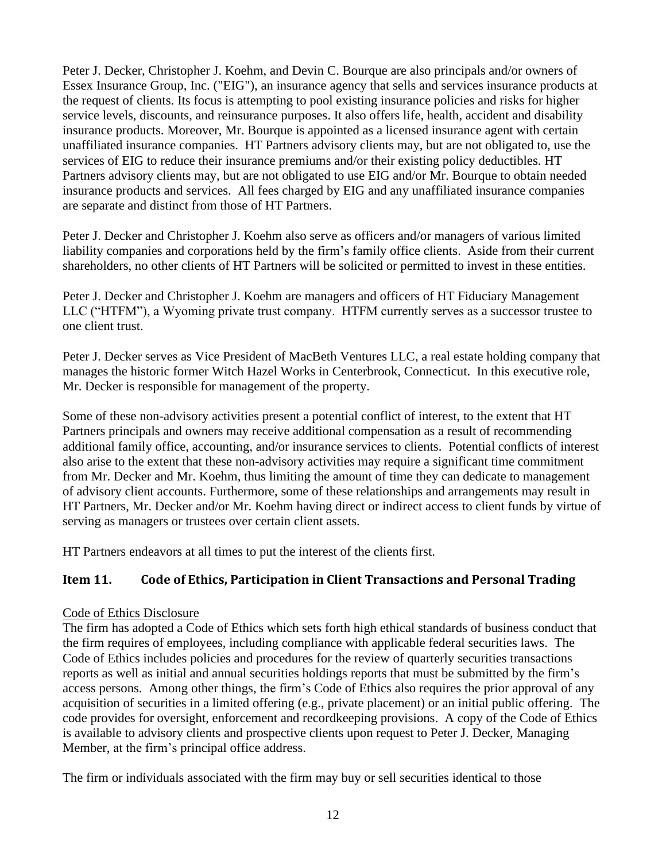Peter J. Decker, Christopher J. Koehm, and Devin C. Bourque are also principals and/or owners of Essex Insurance Group, Inc. ("EIG"), an insurance agency that sells and services insurance products at the request of clients. Its focus is attempting to pool existing insurance policies and risks for higher service levels, discounts, and reinsurance purposes. It also offers life, health, accident and disability insurance products. Moreover, Mr. Bourque is appointed as a licensed insurance agent with certain unaffiliated insurance companies. HT Partners advisory clients may, but are not obligated to, use the services of EIG to reduce their insurance premiums and/or their existing policy deductibles. HT Partners advisory clients may, but are not obligated to use EIG and/or Mr. Bourque to obtain needed insurance products and services. All fees charged by EIG and any unaffiliated insurance companies are separate and distinct from those of HT Partners.

Peter J. Decker and Christopher J. Koehm also serve as officers and/or managers of various limited liability companies and corporations held by the firm's family office clients. Aside from their current shareholders, no other clients of HT Partners will be solicited or permitted to invest in these entities.

Peter J. Decker and Christopher J. Koehm are managers and officers of HT Fiduciary Management LLC ("HTFM"), a Wyoming private trust company. HTFM currently serves as a successor trustee to one client trust.

Peter J. Decker serves as Vice President of MacBeth Ventures LLC, a real estate holding company that manages the historic former Witch Hazel Works in Centerbrook, Connecticut. In this executive role, Mr. Decker is responsible for management of the property.

Some of these non-advisory activities present a potential conflict of interest, to the extent that HT Partners principals and owners may receive additional compensation as a result of recommending additional family office, accounting, and/or insurance services to clients. Potential conflicts of interest also arise to the extent that these non-advisory activities may require a significant time commitment from Mr. Decker and Mr. Koehm, thus limiting the amount of time they can dedicate to management of advisory client accounts. Furthermore, some of these relationships and arrangements may result in HT Partners, Mr. Decker and/or Mr. Koehm having direct or indirect access to client funds by virtue of serving as managers or trustees over certain client assets.

HT Partners endeavors at all times to put the interest of the clients first.

## <span id="page-11-0"></span>**Item 11. Code of Ethics, Participation in Client Transactions and Personal Trading**

## Code of Ethics Disclosure

The firm has adopted a Code of Ethics which sets forth high ethical standards of business conduct that the firm requires of employees, including compliance with applicable federal securities laws. The Code of Ethics includes policies and procedures for the review of quarterly securities transactions reports as well as initial and annual securities holdings reports that must be submitted by the firm's access persons. Among other things, the firm's Code of Ethics also requires the prior approval of any acquisition of securities in a limited offering (e.g., private placement) or an initial public offering. The code provides for oversight, enforcement and recordkeeping provisions. A copy of the Code of Ethics is available to advisory clients and prospective clients upon request to Peter J. Decker, Managing Member, at the firm's principal office address.

The firm or individuals associated with the firm may buy or sell securities identical to those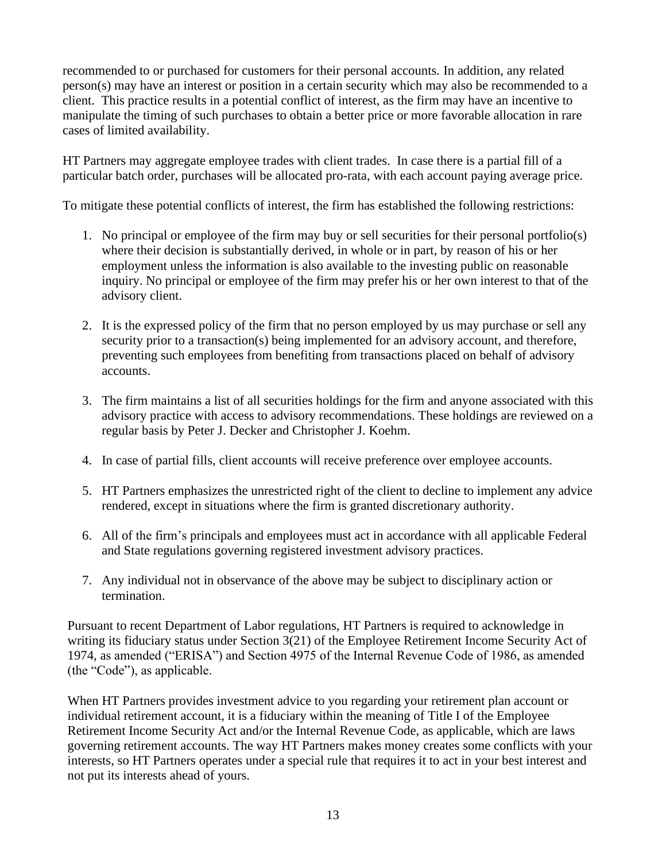recommended to or purchased for customers for their personal accounts. In addition, any related person(s) may have an interest or position in a certain security which may also be recommended to a client. This practice results in a potential conflict of interest, as the firm may have an incentive to manipulate the timing of such purchases to obtain a better price or more favorable allocation in rare cases of limited availability.

HT Partners may aggregate employee trades with client trades. In case there is a partial fill of a particular batch order, purchases will be allocated pro-rata, with each account paying average price.

To mitigate these potential conflicts of interest, the firm has established the following restrictions:

- 1. No principal or employee of the firm may buy or sell securities for their personal portfolio(s) where their decision is substantially derived, in whole or in part, by reason of his or her employment unless the information is also available to the investing public on reasonable inquiry. No principal or employee of the firm may prefer his or her own interest to that of the advisory client.
- 2. It is the expressed policy of the firm that no person employed by us may purchase or sell any security prior to a transaction(s) being implemented for an advisory account, and therefore, preventing such employees from benefiting from transactions placed on behalf of advisory accounts.
- 3. The firm maintains a list of all securities holdings for the firm and anyone associated with this advisory practice with access to advisory recommendations. These holdings are reviewed on a regular basis by Peter J. Decker and Christopher J. Koehm.
- 4. In case of partial fills, client accounts will receive preference over employee accounts.
- 5. HT Partners emphasizes the unrestricted right of the client to decline to implement any advice rendered, except in situations where the firm is granted discretionary authority.
- 6. All of the firm's principals and employees must act in accordance with all applicable Federal and State regulations governing registered investment advisory practices.
- 7. Any individual not in observance of the above may be subject to disciplinary action or termination.

Pursuant to recent Department of Labor regulations, HT Partners is required to acknowledge in writing its fiduciary status under Section 3(21) of the Employee Retirement Income Security Act of 1974, as amended ("ERISA") and Section 4975 of the Internal Revenue Code of 1986, as amended (the "Code"), as applicable.

When HT Partners provides investment advice to you regarding your retirement plan account or individual retirement account, it is a fiduciary within the meaning of Title I of the Employee Retirement Income Security Act and/or the Internal Revenue Code, as applicable, which are laws governing retirement accounts. The way HT Partners makes money creates some conflicts with your interests, so HT Partners operates under a special rule that requires it to act in your best interest and not put its interests ahead of yours.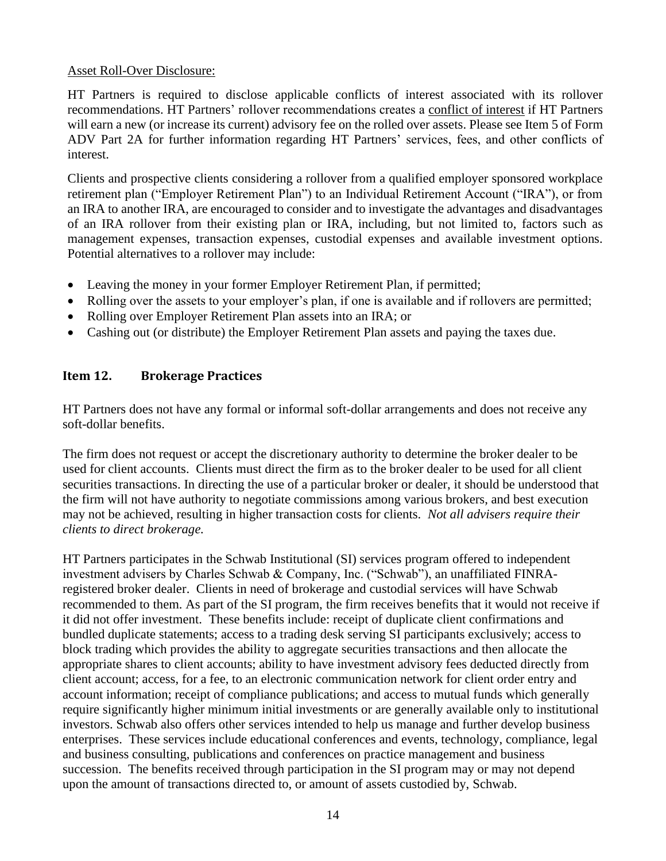## Asset Roll-Over Disclosure:

HT Partners is required to disclose applicable conflicts of interest associated with its rollover recommendations. HT Partners' rollover recommendations creates a conflict of interest if HT Partners will earn a new (or increase its current) advisory fee on the rolled over assets. Please see Item 5 of Form ADV Part 2A for further information regarding HT Partners' services, fees, and other conflicts of interest.

Clients and prospective clients considering a rollover from a qualified employer sponsored workplace retirement plan ("Employer Retirement Plan") to an Individual Retirement Account ("IRA"), or from an IRA to another IRA, are encouraged to consider and to investigate the advantages and disadvantages of an IRA rollover from their existing plan or IRA, including, but not limited to, factors such as management expenses, transaction expenses, custodial expenses and available investment options. Potential alternatives to a rollover may include:

- Leaving the money in your former Employer Retirement Plan, if permitted;
- Rolling over the assets to your employer's plan, if one is available and if rollovers are permitted;
- Rolling over Employer Retirement Plan assets into an IRA; or
- Cashing out (or distribute) the Employer Retirement Plan assets and paying the taxes due.

## <span id="page-13-0"></span>**Item 12. Brokerage Practices**

HT Partners does not have any formal or informal soft-dollar arrangements and does not receive any soft-dollar benefits.

The firm does not request or accept the discretionary authority to determine the broker dealer to be used for client accounts. Clients must direct the firm as to the broker dealer to be used for all client securities transactions. In directing the use of a particular broker or dealer, it should be understood that the firm will not have authority to negotiate commissions among various brokers, and best execution may not be achieved, resulting in higher transaction costs for clients. *Not all advisers require their clients to direct brokerage.*

HT Partners participates in the Schwab Institutional (SI) services program offered to independent investment advisers by Charles Schwab & Company, Inc. ("Schwab"), an unaffiliated FINRAregistered broker dealer. Clients in need of brokerage and custodial services will have Schwab recommended to them. As part of the SI program, the firm receives benefits that it would not receive if it did not offer investment. These benefits include: receipt of duplicate client confirmations and bundled duplicate statements; access to a trading desk serving SI participants exclusively; access to block trading which provides the ability to aggregate securities transactions and then allocate the appropriate shares to client accounts; ability to have investment advisory fees deducted directly from client account; access, for a fee, to an electronic communication network for client order entry and account information; receipt of compliance publications; and access to mutual funds which generally require significantly higher minimum initial investments or are generally available only to institutional investors. Schwab also offers other services intended to help us manage and further develop business enterprises. These services include educational conferences and events, technology, compliance, legal and business consulting, publications and conferences on practice management and business succession. The benefits received through participation in the SI program may or may not depend upon the amount of transactions directed to, or amount of assets custodied by, Schwab.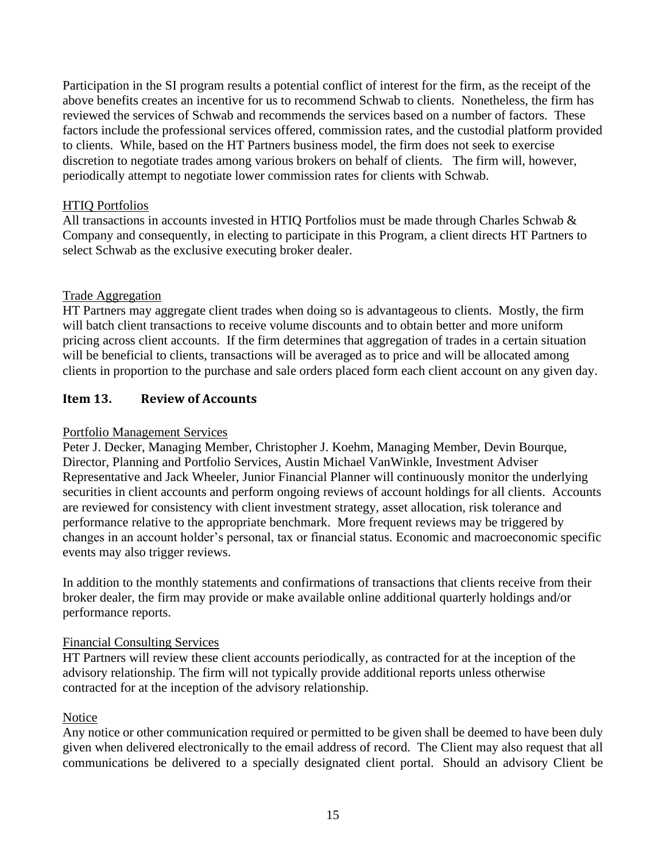Participation in the SI program results a potential conflict of interest for the firm, as the receipt of the above benefits creates an incentive for us to recommend Schwab to clients. Nonetheless, the firm has reviewed the services of Schwab and recommends the services based on a number of factors. These factors include the professional services offered, commission rates, and the custodial platform provided to clients. While, based on the HT Partners business model, the firm does not seek to exercise discretion to negotiate trades among various brokers on behalf of clients. The firm will, however, periodically attempt to negotiate lower commission rates for clients with Schwab.

## HTIQ Portfolios

All transactions in accounts invested in HTIQ Portfolios must be made through Charles Schwab & Company and consequently, in electing to participate in this Program, a client directs HT Partners to select Schwab as the exclusive executing broker dealer.

#### Trade Aggregation

HT Partners may aggregate client trades when doing so is advantageous to clients. Mostly, the firm will batch client transactions to receive volume discounts and to obtain better and more uniform pricing across client accounts. If the firm determines that aggregation of trades in a certain situation will be beneficial to clients, transactions will be averaged as to price and will be allocated among clients in proportion to the purchase and sale orders placed form each client account on any given day.

## <span id="page-14-0"></span>**Item 13. Review of Accounts**

## Portfolio Management Services

Peter J. Decker, Managing Member, Christopher J. Koehm, Managing Member, Devin Bourque, Director, Planning and Portfolio Services, Austin Michael VanWinkle, Investment Adviser Representative and Jack Wheeler, Junior Financial Planner will continuously monitor the underlying securities in client accounts and perform ongoing reviews of account holdings for all clients. Accounts are reviewed for consistency with client investment strategy, asset allocation, risk tolerance and performance relative to the appropriate benchmark. More frequent reviews may be triggered by changes in an account holder's personal, tax or financial status. Economic and macroeconomic specific events may also trigger reviews.

In addition to the monthly statements and confirmations of transactions that clients receive from their broker dealer, the firm may provide or make available online additional quarterly holdings and/or performance reports.

## Financial Consulting Services

HT Partners will review these client accounts periodically, as contracted for at the inception of the advisory relationship. The firm will not typically provide additional reports unless otherwise contracted for at the inception of the advisory relationship.

## **Notice**

Any notice or other communication required or permitted to be given shall be deemed to have been duly given when delivered electronically to the email address of record. The Client may also request that all communications be delivered to a specially designated client portal. Should an advisory Client be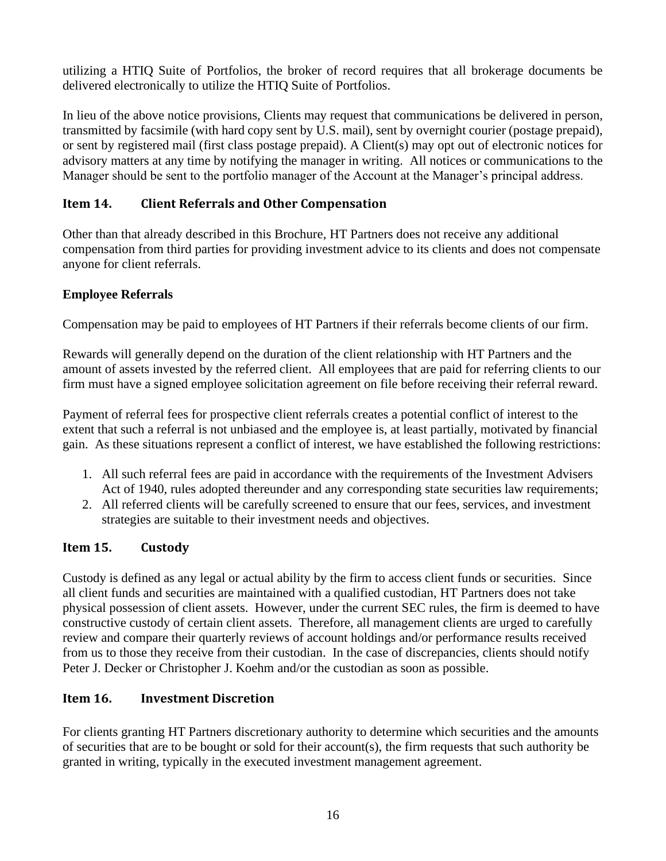utilizing a HTIQ Suite of Portfolios, the broker of record requires that all brokerage documents be delivered electronically to utilize the HTIQ Suite of Portfolios.

In lieu of the above notice provisions, Clients may request that communications be delivered in person, transmitted by facsimile (with hard copy sent by U.S. mail), sent by overnight courier (postage prepaid), or sent by registered mail (first class postage prepaid). A Client(s) may opt out of electronic notices for advisory matters at any time by notifying the manager in writing. All notices or communications to the Manager should be sent to the portfolio manager of the Account at the Manager's principal address.

## <span id="page-15-0"></span>**Item 14. Client Referrals and Other Compensation**

Other than that already described in this Brochure, HT Partners does not receive any additional compensation from third parties for providing investment advice to its clients and does not compensate anyone for client referrals.

## **Employee Referrals**

Compensation may be paid to employees of HT Partners if their referrals become clients of our firm.

Rewards will generally depend on the duration of the client relationship with HT Partners and the amount of assets invested by the referred client. All employees that are paid for referring clients to our firm must have a signed employee solicitation agreement on file before receiving their referral reward.

Payment of referral fees for prospective client referrals creates a potential conflict of interest to the extent that such a referral is not unbiased and the employee is, at least partially, motivated by financial gain. As these situations represent a conflict of interest, we have established the following restrictions:

- 1. All such referral fees are paid in accordance with the requirements of the Investment Advisers Act of 1940, rules adopted thereunder and any corresponding state securities law requirements;
- 2. All referred clients will be carefully screened to ensure that our fees, services, and investment strategies are suitable to their investment needs and objectives.

## <span id="page-15-1"></span>**Item 15. Custody**

Custody is defined as any legal or actual ability by the firm to access client funds or securities. Since all client funds and securities are maintained with a qualified custodian, HT Partners does not take physical possession of client assets. However, under the current SEC rules, the firm is deemed to have constructive custody of certain client assets. Therefore, all management clients are urged to carefully review and compare their quarterly reviews of account holdings and/or performance results received from us to those they receive from their custodian. In the case of discrepancies, clients should notify Peter J. Decker or Christopher J. Koehm and/or the custodian as soon as possible.

## <span id="page-15-2"></span>**Item 16. Investment Discretion**

For clients granting HT Partners discretionary authority to determine which securities and the amounts of securities that are to be bought or sold for their account(s), the firm requests that such authority be granted in writing, typically in the executed investment management agreement.